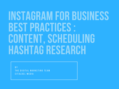# INSTAGRAM FOR BUSINESS BEST PRACTICES : CONTENT, SCHEDULING HASHTAG RESEARCH

B Y THE DIGITAL MARKETING TEAM CITALDEL MEDIA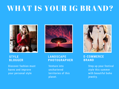## WHAT IS YOUR IG BRAND?



### **STYLE BLOGGER**

Discover fashion must haves and improve your personal style



### **LANDSCAPE PHOTOGRAPHER**

Venture into unchartered territories of this planet.



### **E-COMMERCE BRAND**

Step up your festival style this summer with beautiful boho jewelry.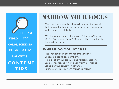REGRAM **CONTENT TIPS** COLOR SCHEMES VIDEO UGC REUSE CONTENT USE GRIDS

## NARROW YOUR FOCUS

You may like a little bit of everything but that won't help you sell or build your community on Instagram unless you're a celebrity.

What is your account at first glace? Fashion? Funny Girl? E-Commerce Brand? Musician? The more tightly focused the better.

### WHERE DO YOU START?

- Find inspiration in other accounts you love.
- Choose a posting style or theme,
- Make a list of your product and related categories.
- Use color schemes & high quality similar images.
- Schedule your content in advance
- Refine your strategy from month to month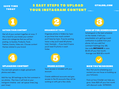### SAVE TIME TODAY

### 5 EASY STEPS TO UPLOAD YOUR INSTAGRAM CONTENT

### CITALDEL.COM

#### GATHER YOUR CONTENT

Get all of your content together at once. If this is hard for your break your content down into categories that you will be posting. ie Quotes, Products, Food, Fashion, Events, Video etc. Choose content themes related to your brand



#### UPLOADING CONTENT

You can bulk upload or single upload both photos and video.

Add the top 28 hashtags as the first comment in our photos. Plan how it will look on your Instagram timeline and set queue times (reg post times)



#### ORGANIZE BY TOPIC

Organize photos in folders by topic so you know how much content you'll have by topic. If you're posting twice a day you'll need 60 photos total. Example ....If you had 4 topics you'd need 15 photos in each folder.



### SHARE ACCESS

Team access is included with your account.

Create additional accounts and give access to the IG accounts they will be working on with just a few clicks.



#### SIGN UP FOR SCHEDUGRAM

Schedugram is the best scheduler on the market. It let's you preschedule w/o getting a push notification to publish from your phone, let's you add first comment hashtags (top 28). Use code INSTASAVE to save \$5.00 off your first month. Average cost \$20.00 a month



#### NOW YOU'RE ROCKING

Now that you're scheduling your content you can focus on building up your followers.

Find out how Citaldel can help you grow. Save \$20 off your first month with discount code IGFRIENDS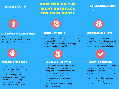### HASHTAG 101

### HOW TO FIND THE RIGHT HASHTAGS FOR YOUR POSTS

### CITALDEL.COM



### LIST YOUR POST CATEGORIES

List all of the post categories that you will be posting. ie Quotes, Products, Food, Fashion, Events, Video etc.



#### BEWARE OF BIG TAGS

BEWARE of using really big tags because 1. They could be flooded with porn or content you don't want your brand exposed to . It could just also be too big for your target customers to find you 1 or 2 are okay but no more.



#### SEARCH BY TOPIC

Look for hashtags in your industry between 15K and 3 million. These tags are big enough for engagement but not so big that your post will get lost. You want to choose 29 all together and your brand tag makes 30.



#### USE ALL 30 HASHTAGS

Some people hate hashtags but unless you're a million follower plus account that gets a ton of people to tag their friends...you NEED hashtags to increase your reach and increase engagement. Use 2 in the caption and put the other 28 in the first comment box. They'll disappear after people start to comment.



### SEPARATE BY PHOTO

Use the appropriate tags with the right photo to increase your post reach. You don't want taco tags with motivational quotes or quotes about cake and wine with travel photos.



### WATCH YOUR DATA

Use an analytics tool and see which hashtags your posts get the most engagement from and change up your strategy from month to month.

Find out how Citaldel can help you grow. Save \$20 off your first month with discount code IGFRIENDS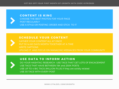

### **CONTENT IS KING**

CHOOSE THE BEST PHOTOS FOR YOUR PAGE POST REGULARLY USE A STYLE OR POSTING ORDER AND STICK TO IT

### SCHEDULE YOUR CONTENT

GATHER YOUR CONTENT ALL AT ONCE PUT 30 to 60 DAYS WORTH TOGETHER AT A TIME WRITE CAPTIONS UPLOAD IT AND FOCUS ON MANAGING MESSAGES FROM YOUR COMMUNITY

### USE DATA TO INFORM ACTION



DO YOUR HASHTAG RESEARCH USE TAGS THAT GET LOTS OF ENGAGEMENT USE TAGS THAT HAVE BETWEEN 15K and 250K POSTS USE UP TO 4 BIG TAGS (MILLION PLUS) if they are solidly related USE 30 TAGS WITH EVERY POST